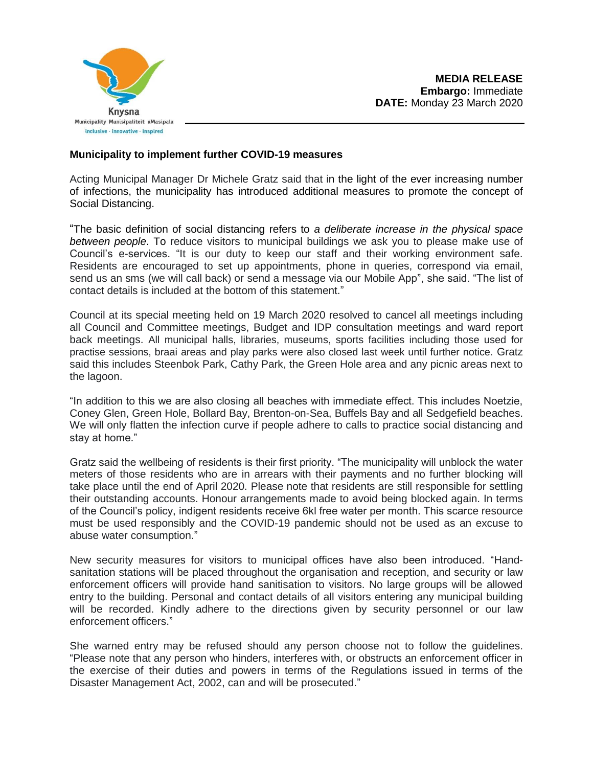

## **Municipality to implement further COVID-19 measures**

Acting Municipal Manager Dr Michele Gratz said that in the light of the ever increasing number of infections, the municipality has introduced additional measures to promote the concept of Social Distancing.

"The basic definition of social distancing refers to *a deliberate increase in the physical space between people*. To reduce visitors to municipal buildings we ask you to please make use of Council's e-services. "It is our duty to keep our staff and their working environment safe. Residents are encouraged to set up appointments, phone in queries, correspond via email, send us an sms (we will call back) or send a message via our Mobile App", she said. "The list of contact details is included at the bottom of this statement."

Council at its special meeting held on 19 March 2020 resolved to cancel all meetings including all Council and Committee meetings, Budget and IDP consultation meetings and ward report back meetings. All municipal halls, libraries, museums, sports facilities including those used for practise sessions, braai areas and play parks were also closed last week until further notice. Gratz said this includes Steenbok Park, Cathy Park, the Green Hole area and any picnic areas next to the lagoon.

"In addition to this we are also closing all beaches with immediate effect. This includes Noetzie, Coney Glen, Green Hole, Bollard Bay, Brenton-on-Sea, Buffels Bay and all Sedgefield beaches. We will only flatten the infection curve if people adhere to calls to practice social distancing and stay at home."

Gratz said the wellbeing of residents is their first priority. "The municipality will unblock the water meters of those residents who are in arrears with their payments and no further blocking will take place until the end of April 2020. Please note that residents are still responsible for settling their outstanding accounts. Honour arrangements made to avoid being blocked again. In terms of the Council's policy, indigent residents receive 6kl free water per month. This scarce resource must be used responsibly and the COVID-19 pandemic should not be used as an excuse to abuse water consumption."

New security measures for visitors to municipal offices have also been introduced. "Handsanitation stations will be placed throughout the organisation and reception, and security or law enforcement officers will provide hand sanitisation to visitors. No large groups will be allowed entry to the building. Personal and contact details of all visitors entering any municipal building will be recorded. Kindly adhere to the directions given by security personnel or our law enforcement officers."

She warned entry may be refused should any person choose not to follow the guidelines. "Please note that any person who hinders, interferes with, or obstructs an enforcement officer in the exercise of their duties and powers in terms of the Regulations issued in terms of the Disaster Management Act, 2002, can and will be prosecuted."